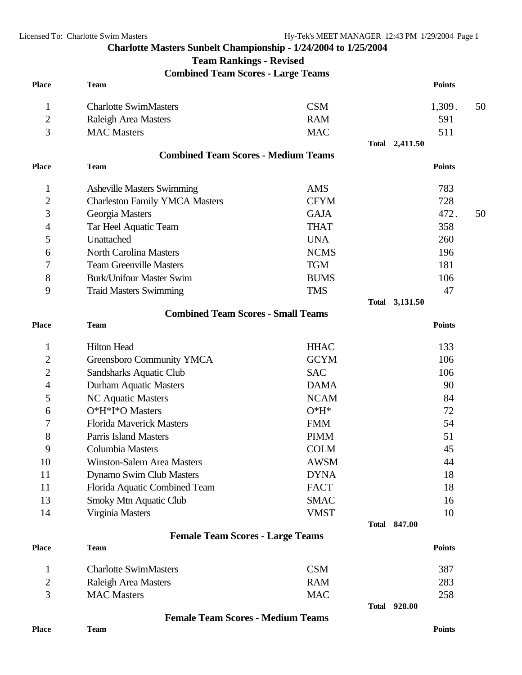## **Charlotte Masters Sunbelt Championship - 1/24/2004 to 1/25/2004**

**Team Rankings - Revised**

**Combined Team Scores - Large Teams**

| <b>Place</b>   | <b>Team</b>                                            |             |  |                     | <b>Points</b> |    |
|----------------|--------------------------------------------------------|-------------|--|---------------------|---------------|----|
| 1              | <b>Charlotte SwimMasters</b>                           | <b>CSM</b>  |  |                     | 1,309.        | 50 |
| $\overline{2}$ | Raleigh Area Masters                                   | <b>RAM</b>  |  |                     | 591           |    |
| 3              | <b>MAC Masters</b>                                     | <b>MAC</b>  |  |                     | 511           |    |
|                |                                                        |             |  | Total 2,411.50      |               |    |
|                | <b>Combined Team Scores - Medium Teams</b>             |             |  |                     |               |    |
| <b>Place</b>   | <b>Team</b>                                            |             |  |                     | <b>Points</b> |    |
| 1              | <b>Asheville Masters Swimming</b>                      | <b>AMS</b>  |  |                     | 783           |    |
| $\overline{2}$ | <b>Charleston Family YMCA Masters</b>                  | <b>CFYM</b> |  |                     | 728           |    |
| 3              | Georgia Masters                                        | <b>GAJA</b> |  |                     | 472.          | 50 |
| 4              | Tar Heel Aquatic Team                                  | <b>THAT</b> |  |                     | 358           |    |
| 5              | Unattached                                             | <b>UNA</b>  |  |                     | 260           |    |
| 6              | <b>North Carolina Masters</b>                          | <b>NCMS</b> |  |                     | 196           |    |
| 7              | <b>Team Greenville Masters</b>                         | <b>TGM</b>  |  |                     | 181           |    |
| 8              | <b>Burk/Unifour Master Swim</b>                        | <b>BUMS</b> |  |                     | 106           |    |
| 9              | <b>Traid Masters Swimming</b>                          | <b>TMS</b>  |  |                     | 47            |    |
|                |                                                        |             |  | Total 3,131.50      |               |    |
|                | <b>Combined Team Scores - Small Teams</b>              |             |  |                     |               |    |
| <b>Place</b>   | <b>Team</b>                                            |             |  |                     | <b>Points</b> |    |
| 1              | <b>Hilton Head</b>                                     | <b>HHAC</b> |  |                     | 133           |    |
| $\overline{c}$ | Greensboro Community YMCA                              | <b>GCYM</b> |  |                     | 106           |    |
| 2              | Sandsharks Aquatic Club                                | <b>SAC</b>  |  |                     | 106           |    |
| 4              | Durham Aquatic Masters                                 | <b>DAMA</b> |  |                     | 90            |    |
| 5              | NC Aquatic Masters                                     | <b>NCAM</b> |  |                     | 84            |    |
| 6              | O*H*I*O Masters                                        | $O*H*$      |  |                     | 72            |    |
| 7              | <b>Florida Maverick Masters</b>                        | <b>FMM</b>  |  |                     | 54            |    |
| 8              | <b>Parris Island Masters</b>                           | <b>PIMM</b> |  |                     | 51            |    |
| 9              | <b>Columbia Masters</b>                                | <b>COLM</b> |  |                     | 45            |    |
| 10             | Winston-Salem Area Masters                             | <b>AWSM</b> |  |                     | 44            |    |
| 11             | Dynamo Swim Club Masters                               | <b>DYNA</b> |  |                     | 18            |    |
| 11             | Florida Aquatic Combined Team                          | <b>FACT</b> |  |                     | 18            |    |
| 13             | Smoky Mtn Aquatic Club                                 | <b>SMAC</b> |  |                     | 16            |    |
| 14             | Virginia Masters                                       | <b>VMST</b> |  |                     | 10            |    |
|                |                                                        |             |  | Total 847.00        |               |    |
| <b>Place</b>   | <b>Female Team Scores - Large Teams</b><br><b>Team</b> |             |  |                     | <b>Points</b> |    |
| $\mathbf{1}$   | <b>Charlotte SwimMasters</b>                           | <b>CSM</b>  |  |                     | 387           |    |
| $\overline{2}$ | Raleigh Area Masters                                   | <b>RAM</b>  |  |                     | 283           |    |
| 3              | <b>MAC</b> Masters                                     | <b>MAC</b>  |  |                     | 258           |    |
|                |                                                        |             |  | <b>Total 928.00</b> |               |    |

**Female Team Scores - Medium Teams**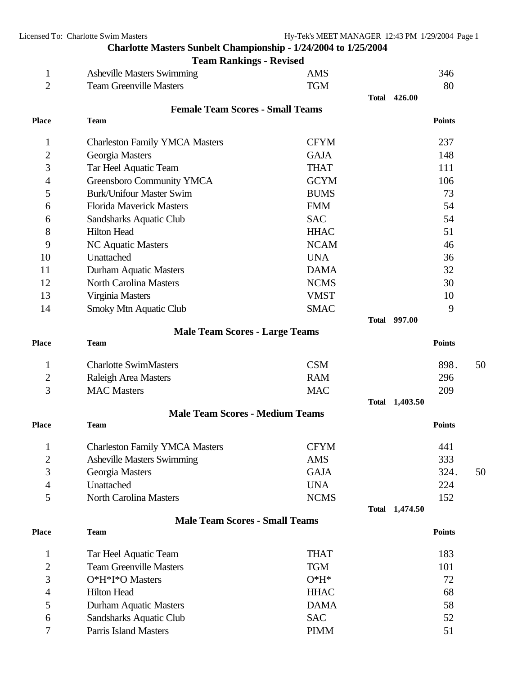**Charlotte Masters Sunbelt Championship - 1/24/2004 to 1/25/2004**

|                | <b>Team Rankings - Revised</b>          |             |                     |               |    |
|----------------|-----------------------------------------|-------------|---------------------|---------------|----|
| $\mathbf 1$    | <b>Asheville Masters Swimming</b>       | <b>AMS</b>  |                     | 346           |    |
| $\overline{2}$ | <b>Team Greenville Masters</b>          | <b>TGM</b>  |                     | 80            |    |
|                |                                         |             | <b>Total 426.00</b> |               |    |
|                | <b>Female Team Scores - Small Teams</b> |             |                     |               |    |
| <b>Place</b>   | <b>Team</b>                             |             |                     | <b>Points</b> |    |
| $\mathbf{1}$   | <b>Charleston Family YMCA Masters</b>   | <b>CFYM</b> |                     | 237           |    |
| $\overline{2}$ | Georgia Masters                         | <b>GAJA</b> |                     | 148           |    |
| 3              | Tar Heel Aquatic Team                   | <b>THAT</b> |                     | 111           |    |
| 4              | Greensboro Community YMCA               | <b>GCYM</b> |                     | 106           |    |
| 5              | <b>Burk/Unifour Master Swim</b>         | <b>BUMS</b> |                     | 73            |    |
| 6              | <b>Florida Maverick Masters</b>         | <b>FMM</b>  |                     | 54            |    |
| 6              | Sandsharks Aquatic Club                 | <b>SAC</b>  |                     | 54            |    |
| 8              | <b>Hilton Head</b>                      | <b>HHAC</b> |                     | 51            |    |
| 9              | <b>NC Aquatic Masters</b>               | <b>NCAM</b> |                     | 46            |    |
| 10             | Unattached                              | <b>UNA</b>  |                     | 36            |    |
| 11             | Durham Aquatic Masters                  | <b>DAMA</b> |                     | 32            |    |
| 12             | <b>North Carolina Masters</b>           | <b>NCMS</b> |                     | 30            |    |
| 13             | Virginia Masters                        | <b>VMST</b> |                     | 10            |    |
| 14             | Smoky Mtn Aquatic Club                  | <b>SMAC</b> |                     | 9             |    |
|                |                                         |             | <b>Total 997.00</b> |               |    |
|                | <b>Male Team Scores - Large Teams</b>   |             |                     |               |    |
| <b>Place</b>   | <b>Team</b>                             |             |                     | <b>Points</b> |    |
| $\mathbf 1$    | <b>Charlotte SwimMasters</b>            | <b>CSM</b>  |                     | 898.          | 50 |
| 2              | Raleigh Area Masters                    | <b>RAM</b>  |                     | 296           |    |
| 3              | <b>MAC Masters</b>                      | <b>MAC</b>  |                     | 209           |    |
|                |                                         |             | Total 1,403.50      |               |    |
|                | <b>Male Team Scores - Medium Teams</b>  |             |                     |               |    |
| <b>Place</b>   | <b>Team</b>                             |             |                     | <b>Points</b> |    |
| 1              | <b>Charleston Family YMCA Masters</b>   | <b>CFYM</b> |                     | 441           |    |
| $\overline{c}$ | <b>Asheville Masters Swimming</b>       | <b>AMS</b>  |                     | 333           |    |
| 3              | Georgia Masters                         | <b>GAJA</b> |                     | 324.          | 50 |
| 4              | Unattached                              | <b>UNA</b>  |                     | 224           |    |
| 5              | <b>North Carolina Masters</b>           | <b>NCMS</b> |                     | 152           |    |
|                |                                         |             | Total 1,474.50      |               |    |
|                | <b>Male Team Scores - Small Teams</b>   |             |                     |               |    |
| <b>Place</b>   | <b>Team</b>                             |             |                     | <b>Points</b> |    |
| $\mathbf{1}$   | Tar Heel Aquatic Team                   | <b>THAT</b> |                     | 183           |    |
| $\overline{2}$ | <b>Team Greenville Masters</b>          | <b>TGM</b>  |                     | 101           |    |
| 3              | O*H*I*O Masters                         | $O*H*$      |                     | 72            |    |
| 4              | <b>Hilton Head</b>                      | <b>HHAC</b> |                     | 68            |    |
| 5              | Durham Aquatic Masters                  | <b>DAMA</b> |                     | 58            |    |
| 6              | Sandsharks Aquatic Club                 | <b>SAC</b>  |                     | 52            |    |
| 7              | <b>Parris Island Masters</b>            | <b>PIMM</b> |                     | 51            |    |